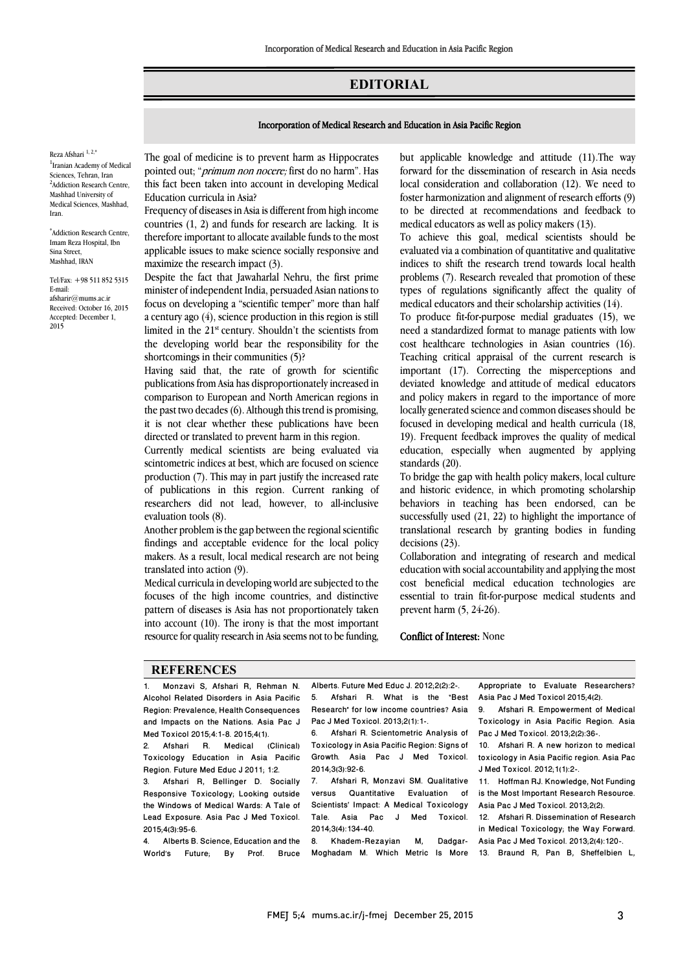## **EDITORIAL**

## Incorporation of Medical Research and Education in Asia Pacific Region

Reza Afshari $^{\rm 1,\,2,*}$ <sup>1</sup> Iranian Academy of Medical Sciences, Tehran, Iran <sup>2</sup>Addiction Research Centre, Mashhad University of Medical Sciences, Mashhad, Iran.

\* Addiction Research Centre, Imam Reza Hospital, Ibn Sina Street, Mashhad, IRAN

Tel/Fax: +98 511 852 5315 E-mail: afsharir@mums.ac.ir Received: October 16, 2015 Accepted: December 1, 2015

 The goal of medicine is to prevent harm as Hippocrates pointed out; "*primum non nocere;* first do no harm". Has this fact been taken into account in developing Medical<br>Education guricula in Asia? Education curricula in Asia?

Ī 

 Frequency of diseases in Asia is different from high income countries (1, 2) and funds for research are lacking. It is therefore important to allocate available funds to the most applicable issues to make science socially responsive and<br>maximize the research impact  $(3)$ maximize the research impact (3).

 Despite the fact that Jawaharlal Nehru, the first prime minister of independent India, persuaded Asian nations to focus on developing a "scientific temper" more than half limited in the  $21<sup>st</sup>$  century. Shouldn't the scientists from the developing world bear the responsibility for the shortcomings in their communities (5)? a century ago (4), science production in this region is still

 Having said that, the rate of growth for scientific comparison to European and North American regions in the past two decades (6). Although this trend is promising, it is not clear whether these publications have been publications from Asia has disproportionately increased in directed or translated to prevent harm in this region.

diffected of translated to prevent harm in this region.<br>Currently medical scientists are being evaluated via scintometric indices at best, which are focused on science production (7). This may in part justify the increased rate of publications in this region. Current ranking of researchers did not lead, however, to all-inclusive<br>evaluation tools (8) evaluation tools (8).

 Another problem is the gap between the regional scientific findings and acceptable evidence for the local policy makers. As a result, local medical research are not being translated into action (9).

 Medical curricula in developing world are subjected to the focuses of the high income countries, and distinctive pattern of diseases is Asia has not proportionately taken into account (10). The irony is that the most important resource for quality research in Asia seems not to be funding,

> j  $\overline{a}$

 but applicable knowledge and attitude (11).The way forward for the dissemination of research in Asia needs foster harmonization and alignment of research efforts (9) to be directed at recommendations and feedback to medical educators as well as policy makers (13). local consideration and collaboration (12). We need to

Ī 

 To achieve this goal, medical scientists should be indices to shift the research trend towards local health problems (7). Research revealed that promotion of these types of regulations significantly affect the quality of medical educators and their scholarship activities (14). evaluated via a combination of quantitative and qualitative

 $\frac{1}{2}$  need a standardized format to manage patients with low cost healthcare technologies in Asian countries (16). Teaching critical appraisal of the current research is important (17). Correcting the misperceptions and and policy makers in regard to the importance of more locally generated science and common diseases should be focused in developing medical and health curricula (18, education, especially when augmented by applying To produce fit-for-purpose medial graduates (15), we deviated knowledge and attitude of medical educators 19). Frequent feedback improves the quality of medical standards (20).

 To bridge the gap with health policy makers, local culture and historic evidence, in which promoting scholarship successfully used (21, 22) to highlight the importance of translational research by granting bodies in funding behaviors in teaching has been endorsed, can be decisions (23).

 Collaboration and integrating of research and medical cost beneficial medical education technologies are essential to train fit-for-purpose medical students and education with social accountability and applying the most prevent harm (5, 24-26).

## Conflict of Interest: None

## **REFERENCES**

1. Monzavi S, Afshari R, Rehman N. Alcohol Related Disorders in Asia Pacific Region: Prevalence, Health Consequences and Impacts on the Nations. Asia Pac J Med Toxicol 2015;4:1-8. 2015;4(1).

2. Afshari R. Medical (Clinical) Toxicology Education in Asia Pacific Region. Future Med Educ J 2011; 1:2.<br>3 Afshari B. Bellinger D. Sou

3. Afshari R, Bellinger D. Socially Responsive Toxicology; Looking outside the Windows of Medical Wards: A Tale of Lead Exposure. Asia Pac J Med Toxicol. 2015;4(3):95-6.

4. Alberts B. Science, Education and the World's Future; By Prof. Bruce

Alberts. Future Med Educ J. 2012;2(2):2-. 5. Afshari R. What is the "Best Research" for low income countries? Asia Pac J Med Toxicol. 2013;2(1):1-.

6. Afshari R. Scientometric Analysis of Toxicology in Asia Pacific Region: Signs of Growth. Asia Pac J Med Toxicol. 2014;3(3):92-6.

7. Afshari R, Monzavi SM. Qualitative versus Quantitative Evaluation of Scientists' Impact: A Medical Toxicology<br>Tale. Asia Pac J Med Toxicol. Tale. Asia Pac J Med 2014;3(4):134-40.

8. Khadem-Hezayian M, Dadgar- Asia-Pac-J-Med-Toxicol.2013;2(4):120-.<br>Moghadam M. Which Metric Is More 13. Braund R, Pan B, Sheffelbien L, 8. Khadem-Rezayian M, Dadgar-

 Appropriate to Evaluate Researchers? Asia Pac J Med Toxicol 2015;4(2).

j

 9. Afshari R. Empowerment of Medical Pac J Med Toxicol. 2013;2(2):36-. Toxicology in Asia Pacific Region. Asia

 10. Afshari R. A new horizon to medical toxicology in Asia Pacific region. Asia Pac J Med Toxicol. 2012;1(1):2-.

 11. Hoffman RJ. Knowledge, Not Funding is the Most Important Research Resource. Asia Pac J Med Toxicol. 2013;2(2).

 12. Afshari R. Dissemination of Research in Medical Toxicology; the Way Forward. Asia Pac J Med Toxicol. 2013;2(4):120-.